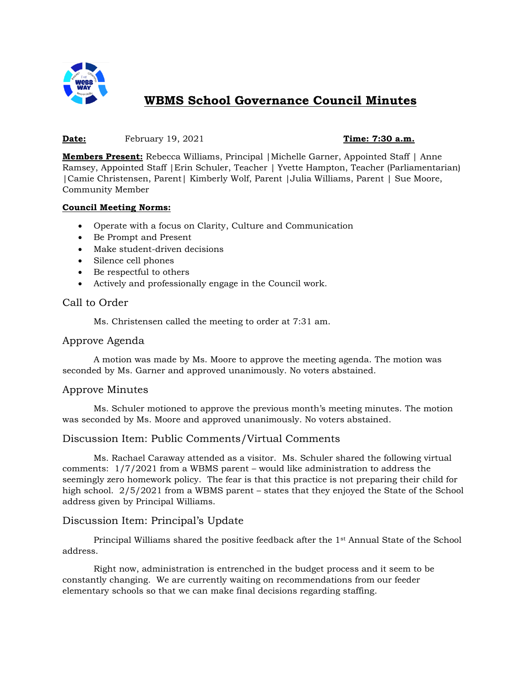

# **WBMS School Governance Council Minutes**

#### **Date:** February 19, 2021 **Time: 7:30 a.m.**

**Members Present:** Rebecca Williams, Principal |Michelle Garner, Appointed Staff | Anne Ramsey, Appointed Staff |Erin Schuler, Teacher | Yvette Hampton, Teacher (Parliamentarian) |Camie Christensen, Parent| Kimberly Wolf, Parent |Julia Williams, Parent | Sue Moore, Community Member

#### **Council Meeting Norms:**

- Operate with a focus on Clarity, Culture and Communication
- Be Prompt and Present
- Make student-driven decisions
- Silence cell phones
- Be respectful to others
- Actively and professionally engage in the Council work.

# Call to Order

Ms. Christensen called the meeting to order at 7:31 am.

#### Approve Agenda

A motion was made by Ms. Moore to approve the meeting agenda. The motion was seconded by Ms. Garner and approved unanimously. No voters abstained.

# Approve Minutes

Ms. Schuler motioned to approve the previous month's meeting minutes. The motion was seconded by Ms. Moore and approved unanimously. No voters abstained.

# Discussion Item: Public Comments/Virtual Comments

Ms. Rachael Caraway attended as a visitor. Ms. Schuler shared the following virtual comments: 1/7/2021 from a WBMS parent – would like administration to address the seemingly zero homework policy. The fear is that this practice is not preparing their child for high school. 2/5/2021 from a WBMS parent – states that they enjoyed the State of the School address given by Principal Williams.

# Discussion Item: Principal's Update

Principal Williams shared the positive feedback after the 1st Annual State of the School address.

Right now, administration is entrenched in the budget process and it seem to be constantly changing. We are currently waiting on recommendations from our feeder elementary schools so that we can make final decisions regarding staffing.